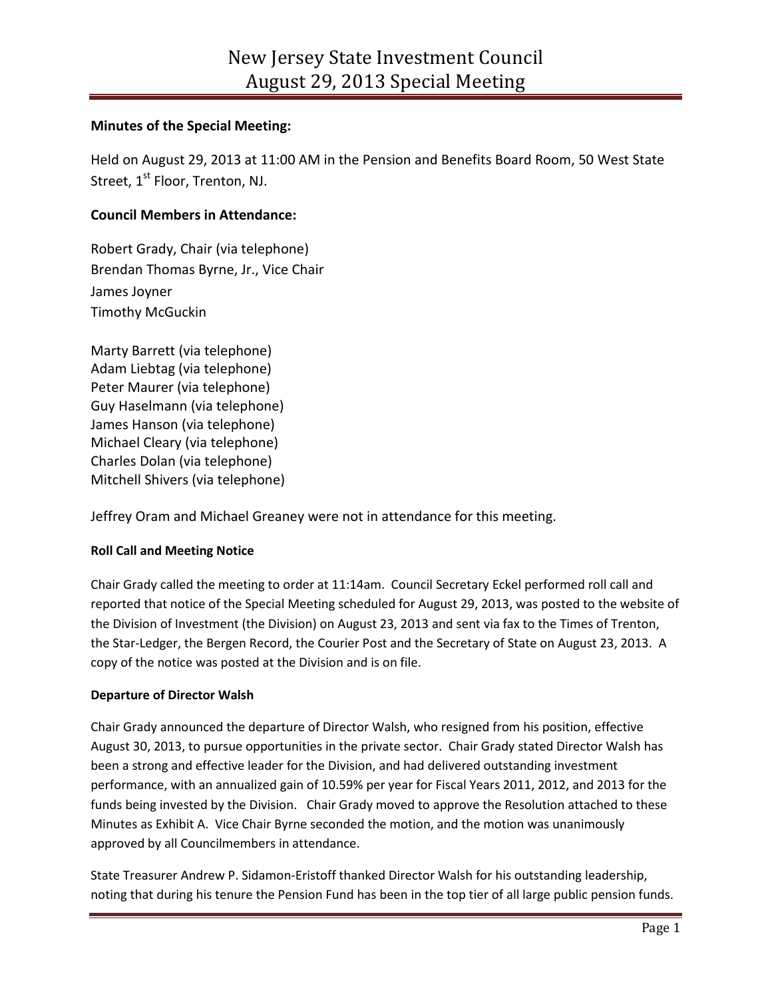# **Minutes of the Special Meeting:**

Held on August 29, 2013 at 11:00 AM in the Pension and Benefits Board Room, 50 West State Street, 1<sup>st</sup> Floor, Trenton, NJ.

# **Council Members in Attendance:**

Robert Grady, Chair (via telephone) Brendan Thomas Byrne, Jr., Vice Chair James Joyner Timothy McGuckin

Marty Barrett (via telephone) Adam Liebtag (via telephone) Peter Maurer (via telephone) Guy Haselmann (via telephone) James Hanson (via telephone) Michael Cleary (via telephone) Charles Dolan (via telephone) Mitchell Shivers (via telephone)

Jeffrey Oram and Michael Greaney were not in attendance for this meeting.

### **Roll Call and Meeting Notice**

Chair Grady called the meeting to order at 11:14am. Council Secretary Eckel performed roll call and reported that notice of the Special Meeting scheduled for August 29, 2013, was posted to the website of the Division of Investment (the Division) on August 23, 2013 and sent via fax to the Times of Trenton, the Star-Ledger, the Bergen Record, the Courier Post and the Secretary of State on August 23, 2013. A copy of the notice was posted at the Division and is on file.

### **Departure of Director Walsh**

Chair Grady announced the departure of Director Walsh, who resigned from his position, effective August 30, 2013, to pursue opportunities in the private sector. Chair Grady stated Director Walsh has been a strong and effective leader for the Division, and had delivered outstanding investment performance, with an annualized gain of 10.59% per year for Fiscal Years 2011, 2012, and 2013 for the funds being invested by the Division. Chair Grady moved to approve the Resolution attached to these Minutes as Exhibit A. Vice Chair Byrne seconded the motion, and the motion was unanimously approved by all Councilmembers in attendance.

State Treasurer Andrew P. Sidamon-Eristoff thanked Director Walsh for his outstanding leadership, noting that during his tenure the Pension Fund has been in the top tier of all large public pension funds.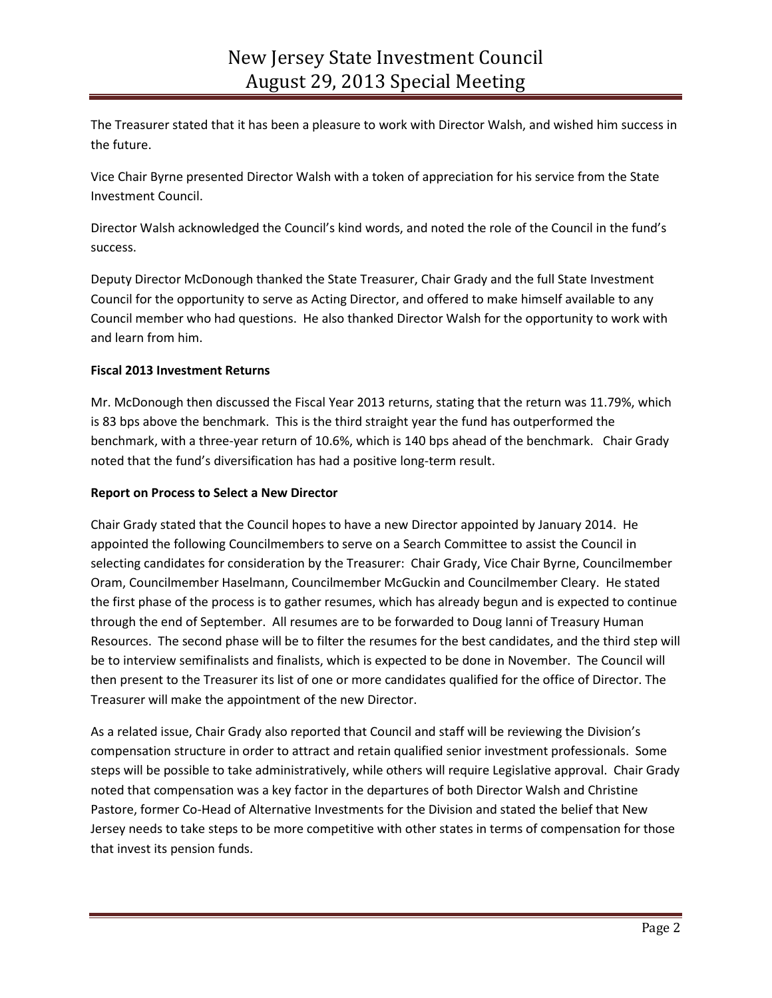The Treasurer stated that it has been a pleasure to work with Director Walsh, and wished him success in the future.

Vice Chair Byrne presented Director Walsh with a token of appreciation for his service from the State Investment Council.

Director Walsh acknowledged the Council's kind words, and noted the role of the Council in the fund's success.

Deputy Director McDonough thanked the State Treasurer, Chair Grady and the full State Investment Council for the opportunity to serve as Acting Director, and offered to make himself available to any Council member who had questions. He also thanked Director Walsh for the opportunity to work with and learn from him.

# **Fiscal 2013 Investment Returns**

Mr. McDonough then discussed the Fiscal Year 2013 returns, stating that the return was 11.79%, which is 83 bps above the benchmark. This is the third straight year the fund has outperformed the benchmark, with a three-year return of 10.6%, which is 140 bps ahead of the benchmark. Chair Grady noted that the fund's diversification has had a positive long-term result.

### **Report on Process to Select a New Director**

Chair Grady stated that the Council hopes to have a new Director appointed by January 2014. He appointed the following Councilmembers to serve on a Search Committee to assist the Council in selecting candidates for consideration by the Treasurer: Chair Grady, Vice Chair Byrne, Councilmember Oram, Councilmember Haselmann, Councilmember McGuckin and Councilmember Cleary. He stated the first phase of the process is to gather resumes, which has already begun and is expected to continue through the end of September. All resumes are to be forwarded to Doug Ianni of Treasury Human Resources. The second phase will be to filter the resumes for the best candidates, and the third step will be to interview semifinalists and finalists, which is expected to be done in November. The Council will then present to the Treasurer its list of one or more candidates qualified for the office of Director. The Treasurer will make the appointment of the new Director.

As a related issue, Chair Grady also reported that Council and staff will be reviewing the Division's compensation structure in order to attract and retain qualified senior investment professionals. Some steps will be possible to take administratively, while others will require Legislative approval. Chair Grady noted that compensation was a key factor in the departures of both Director Walsh and Christine Pastore, former Co-Head of Alternative Investments for the Division and stated the belief that New Jersey needs to take steps to be more competitive with other states in terms of compensation for those that invest its pension funds.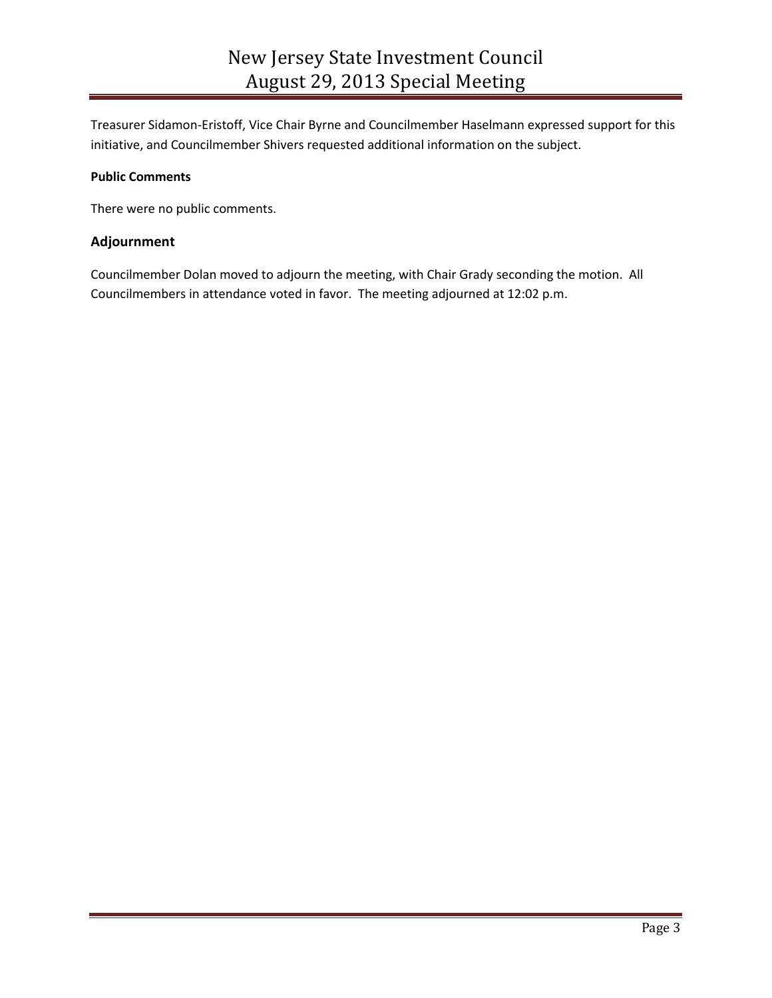Treasurer Sidamon-Eristoff, Vice Chair Byrne and Councilmember Haselmann expressed support for this initiative, and Councilmember Shivers requested additional information on the subject.

### **Public Comments**

There were no public comments.

### **Adjournment**

Councilmember Dolan moved to adjourn the meeting, with Chair Grady seconding the motion. All Councilmembers in attendance voted in favor. The meeting adjourned at 12:02 p.m.